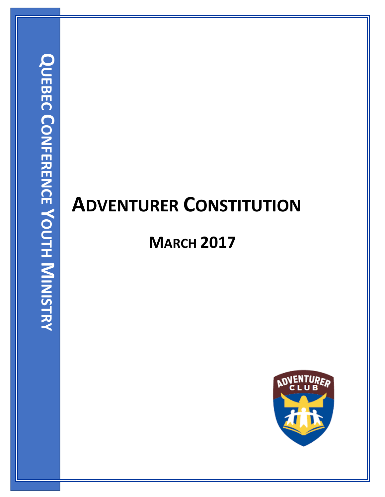# **ADVENTURER CONSTITUTION**

## **MARCH 2017**

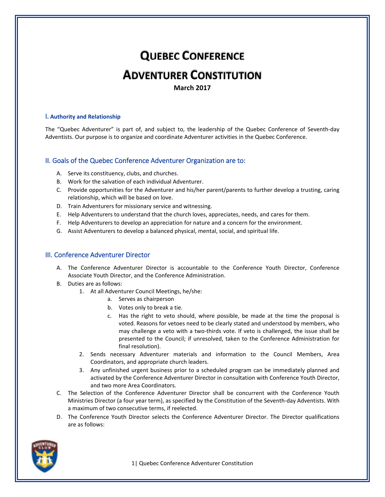## **QUEBEC CONFERENCE**

### **ADVENTURER CONSTITUTION**

**March 2017**

#### I**. Authority and Relationship**

The "Quebec Adventurer" is part of, and subject to, the leadership of the Quebec Conference of Seventh‐day Adventists. Our purpose is to organize and coordinate Adventurer activities in the Quebec Conference.

#### II. Goals of the Quebec Conference Adventurer Organization are to:

- A. Serve its constituency, clubs, and churches.
- B. Work for the salvation of each individual Adventurer.
- C. Provide opportunities for the Adventurer and his/her parent/parents to further develop a trusting, caring relationship, which will be based on love.
- D. Train Adventurers for missionary service and witnessing.
- E. Help Adventurers to understand that the church loves, appreciates, needs, and cares for them.
- F. Help Adventurers to develop an appreciation for nature and a concern for the environment.
- G. Assist Adventurers to develop a balanced physical, mental, social, and spiritual life.

#### III. Conference Adventurer Director

- A. The Conference Adventurer Director is accountable to the Conference Youth Director, Conference Associate Youth Director, and the Conference Administration.
- B. Duties are as follows:
	- 1. At all Adventurer Council Meetings, he/she:
		- a. Serves as chairperson
		- b. Votes only to break a tie.
		- c. Has the right to veto should, where possible, be made at the time the proposal is voted. Reasons for vetoes need to be clearly stated and understood by members, who may challenge a veto with a two-thirds vote. If veto is challenged, the issue shall be presented to the Council; if unresolved, taken to the Conference Administration for final resolution).
	- 2. Sends necessary Adventurer materials and information to the Council Members, Area Coordinators, and appropriate church leaders.
	- 3. Any unfinished urgent business prior to a scheduled program can be immediately planned and activated by the Conference Adventurer Director in consultation with Conference Youth Director, and two more Area Coordinators.
- C. The Selection of the Conference Adventurer Director shall be concurrent with the Conference Youth Ministries Director (a four year term), as specified by the Constitution of the Seventh‐day Adventists. With a maximum of two consecutive terms, if reelected.
- D. The Conference Youth Director selects the Conference Adventurer Director. The Director qualifications are as follows:

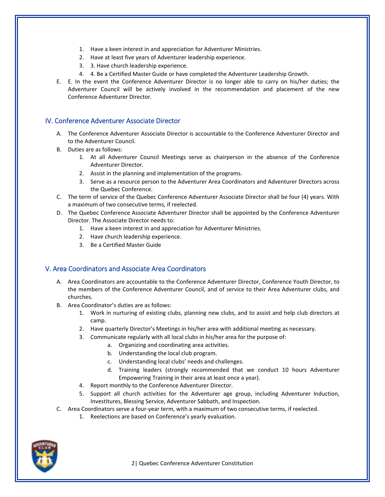- 1. Have a keen interest in and appreciation for Adventurer Ministries.
- 2. Have at least five years of Adventurer leadership experience.
- 3. 3. Have church leadership experience.
- 4. 4. Be a Certified Master Guide or have completed the Adventurer Leadership Growth.
- E. E. In the event the Conference Adventurer Director is no longer able to carry on his/her duties; the Adventurer Council will be actively involved in the recommendation and placement of the new Conference Adventurer Director.

#### IV. Conference Adventurer Associate Director

- A. The Conference Adventurer Associate Director is accountable to the Conference Adventurer Director and to the Adventurer Council.
- B. Duties are as follows:
	- 1. At all Adventurer Council Meetings serve as chairperson in the absence of the Conference Adventurer Director.
	- 2. Assist in the planning and implementation of the programs.
	- 3. Serve as a resource person to the Adventurer Area Coordinators and Adventurer Directors across the Quebec Conference.
- C. The term of service of the Quebec Conference Adventurer Associate Director shall be four (4) years. With a maximum of two consecutive terms, if reelected.
- D. The Quebec Conference Associate Adventurer Director shall be appointed by the Conference Adventurer Director. The Associate Director needs to:
	- 1. Have a keen interest in and appreciation for Adventurer Ministries.
	- 2. Have church leadership experience.
	- 3. Be a Certified Master Guide

#### V. Area Coordinators and Associate Area Coordinators

- A. Area Coordinators are accountable to the Conference Adventurer Director, Conference Youth Director, to the members of the Conference Adventurer Council, and of service to their Area Adventurer clubs, and churches.
- B. Area Coordinator's duties are as follows:
	- 1. Work in nurturing of existing clubs, planning new clubs, and to assist and help club directors at camp.
	- 2. Have quarterly Director's Meetings in his/her area with additional meeting as necessary.
	- 3. Communicate regularly with all local clubs in his/her area for the purpose of:
		- a. Organizing and coordinating area activities.
		- b. Understanding the local club program.
		- c. Understanding local clubs' needs and challenges.
		- d. Training leaders (strongly recommended that we conduct 10 hours Adventurer Empowering Training in their area at least once a year).
	- 4. Report monthly to the Conference Adventurer Director.
	- 5. Support all church activities for the Adventurer age group, including Adventurer Induction, Investitures, Blessing Service, Adventurer Sabbath, and Inspection.
- C. Area Coordinators serve a four‐year term, with a maximum of two consecutive terms, if reelected.
	- 1. Reelections are based on Conference's yearly evaluation.

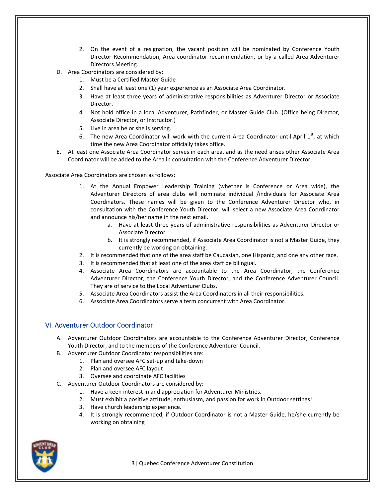- 2. On the event of a resignation, the vacant position will be nominated by Conference Youth Director Recommendation, Area coordinator recommendation, or by a called Area Adventurer Directors Meeting.
- D. Area Coordinators are considered by:
	- 1. Must be a Certified Master Guide
	- 2. Shall have at least one (1) year experience as an Associate Area Coordinator.
	- 3. Have at least three years of administrative responsibilities as Adventurer Director or Associate Director.
	- 4. Not hold office in a local Adventurer, Pathfinder, or Master Guide Club. (Office being Director, Associate Director, or Instructor.)
	- 5. Live in area he or she is serving.
	- 6. The new Area Coordinator will work with the current Area Coordinator until April  $1<sup>st</sup>$ , at which time the new Area Coordinator officially takes office.
- E. At least one Associate Area Coordinator serves in each area, and as the need arises other Associate Area Coordinator will be added to the Area in consultation with the Conference Adventurer Director.

Associate Area Coordinators are chosen as follows:

- 1. At the Annual Empower Leadership Training (whether is Conference or Area wide), the Adventurer Directors of area clubs will nominate individual /individuals for Associate Area Coordinators. These names will be given to the Conference Adventurer Director who, in consultation with the Conference Youth Director, will select a new Associate Area Coordinator and announce his/her name in the next email.
	- a. Have at least three years of administrative responsibilities as Adventurer Director or Associate Director.
	- b. It is strongly recommended, if Associate Area Coordinator is not a Master Guide, they currently be working on obtaining.
- 2. It is recommended that one of the area staff be Caucasian, one Hispanic, and one any other race.
- 3. It is recommended that at least one of the area staff be bilingual.
- 4. Associate Area Coordinators are accountable to the Area Coordinator, the Conference Adventurer Director, the Conference Youth Director, and the Conference Adventurer Council. They are of service to the Local Adventurer Clubs.
- 5. Associate Area Coordinators assist the Area Coordinators in all their responsibilities.
- 6. Associate Area Coordinators serve a term concurrent with Area Coordinator.

#### VI. Adventurer Outdoor Coordinator

- A. Adventurer Outdoor Coordinators are accountable to the Conference Adventurer Director, Conference Youth Director, and to the members of the Conference Adventurer Council.
- B. Adventurer Outdoor Coordinator responsibilities are:
	- 1. Plan and oversee AFC set‐up and take‐down
		- 2. Plan and oversee AFC layout
		- 3. Oversee and coordinate AFC facilities
- C. Adventurer Outdoor Coordinators are considered by:
	- 1. Have a keen interest in and appreciation for Adventurer Ministries.
	- 2. Must exhibit a positive attitude, enthusiasm, and passion for work in Outdoor settings!
	- 3. Have church leadership experience.
	- 4. It is strongly recommended, if Outdoor Coordinator is not a Master Guide, he/she currently be working on obtaining

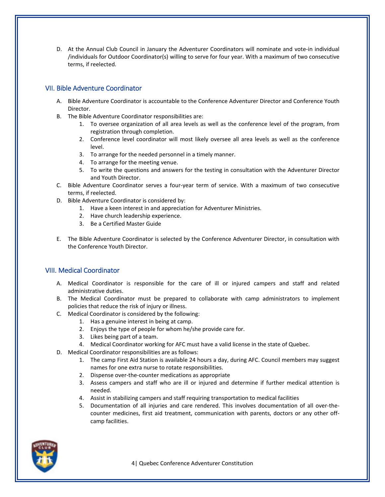D. At the Annual Club Council in January the Adventurer Coordinators will nominate and vote‐in individual /individuals for Outdoor Coordinator(s) willing to serve for four year. With a maximum of two consecutive terms, if reelected.

#### VII. Bible Adventure Coordinator

- A. Bible Adventure Coordinator is accountable to the Conference Adventurer Director and Conference Youth **Director**
- B. The Bible Adventure Coordinator responsibilities are:
	- 1. To oversee organization of all area levels as well as the conference level of the program, from registration through completion.
	- 2. Conference level coordinator will most likely oversee all area levels as well as the conference level.
	- 3. To arrange for the needed personnel in a timely manner.
	- 4. To arrange for the meeting venue.
	- 5. To write the questions and answers for the testing in consultation with the Adventurer Director and Youth Director.
- C. Bible Adventure Coordinator serves a four‐year term of service. With a maximum of two consecutive terms, if reelected.
- D. Bible Adventure Coordinator is considered by:
	- 1. Have a keen interest in and appreciation for Adventurer Ministries.
	- 2. Have church leadership experience.
	- 3. Be a Certified Master Guide
- E. The Bible Adventure Coordinator is selected by the Conference Adventurer Director, in consultation with the Conference Youth Director.

#### VIII. Medical Coordinator

- A. Medical Coordinator is responsible for the care of ill or injured campers and staff and related administrative duties.
- B. The Medical Coordinator must be prepared to collaborate with camp administrators to implement policies that reduce the risk of injury or illness.
- C. Medical Coordinator is considered by the following:
	- 1. Has a genuine interest in being at camp.
	- 2. Enjoys the type of people for whom he/she provide care for.
	- 3. Likes being part of a team.
	- 4. Medical Coordinator working for AFC must have a valid license in the state of Quebec.
- D. Medical Coordinator responsibilities are as follows:
	- 1. The camp First Aid Station is available 24 hours a day, during AFC. Council members may suggest names for one extra nurse to rotate responsibilities.
	- 2. Dispense over-the-counter medications as appropriate
	- 3. Assess campers and staff who are ill or injured and determine if further medical attention is needed.
	- 4. Assist in stabilizing campers and staff requiring transportation to medical facilities
	- 5. Documentation of all injuries and care rendered. This involves documentation of all over-thecounter medicines, first aid treatment, communication with parents, doctors or any other off‐ camp facilities.

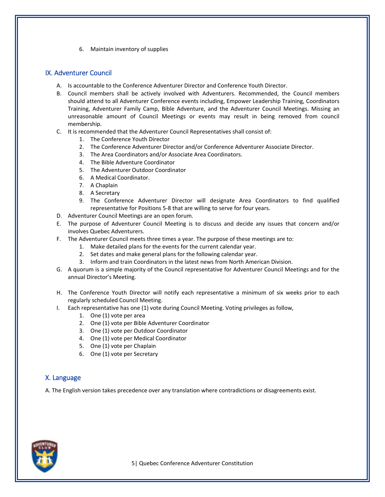6. Maintain inventory of supplies

#### IX. Adventurer Council

- A. Is accountable to the Conference Adventurer Director and Conference Youth Director.
- B. Council members shall be actively involved with Adventurers. Recommended, the Council members should attend to all Adventurer Conference events including, Empower Leadership Training, Coordinators Training, Adventurer Family Camp, Bible Adventure, and the Adventurer Council Meetings. Missing an unreasonable amount of Council Meetings or events may result in being removed from council membership.
- C. It is recommended that the Adventurer Council Representatives shall consist of:
	- 1. The Conference Youth Director
	- 2. The Conference Adventurer Director and/or Conference Adventurer Associate Director.
	- 3. The Area Coordinators and/or Associate Area Coordinators.
	- 4. The Bible Adventure Coordinator
	- 5. The Adventurer Outdoor Coordinator
	- 6. A Medical Coordinator.
	- 7. A Chaplain
	- 8. A Secretary
	- 9. The Conference Adventurer Director will designate Area Coordinators to find qualified representative for Positions 5‐8 that are willing to serve for four years.
- D. Adventurer Council Meetings are an open forum.
- E. The purpose of Adventurer Council Meeting is to discuss and decide any issues that concern and/or involves Quebec Adventurers.
- F. The Adventurer Council meets three times a year. The purpose of these meetings are to:
	- 1. Make detailed plans for the events for the current calendar year.
	- 2. Set dates and make general plans for the following calendar year.
	- 3. Inform and train Coordinators in the latest news from North American Division.
- G. A quorum is a simple majority of the Council representative for Adventurer Council Meetings and for the annual Director's Meeting.
- H. The Conference Youth Director will notify each representative a minimum of six weeks prior to each regularly scheduled Council Meeting.
- I. Each representative has one (1) vote during Council Meeting. Voting privileges as follow,
	- 1. One (1) vote per area
	- 2. One (1) vote per Bible Adventurer Coordinator
	- 3. One (1) vote per Outdoor Coordinator
	- 4. One (1) vote per Medical Coordinator
	- 5. One (1) vote per Chaplain
	- 6. One (1) vote per Secretary

#### X. Language

A. The English version takes precedence over any translation where contradictions or disagreements exist.